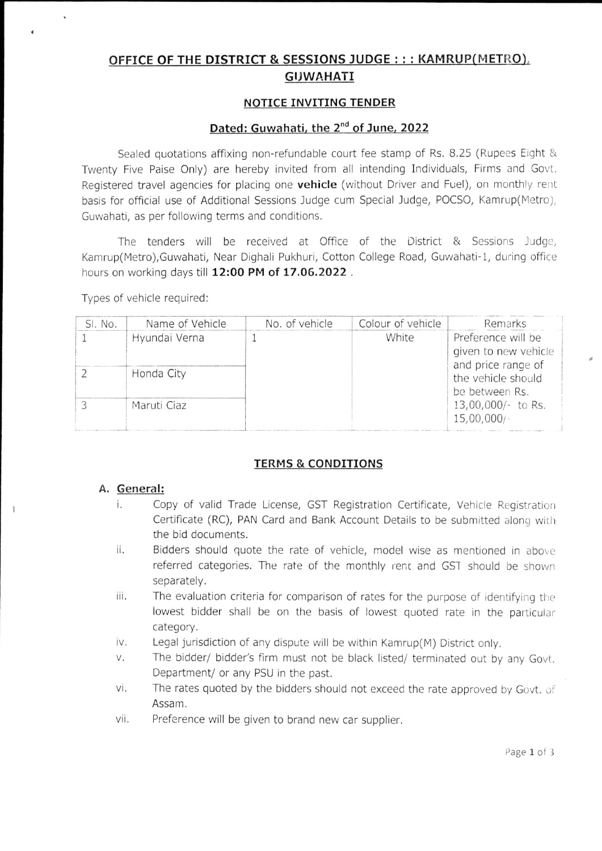# OFFICE OF THE DISTRICT & SESSIONS JUDGE ::: KAMRUP(METRO), GUWAHATI

#### NOTICE INVITING TENDER

### Dated: Guwahati, the 2<sup>nd</sup> of June, 2022

Sealed quotations affixing non-refundable court fee stamp of Rs. 8.25 (Rupees Eight  $\&$ Twenty Five Paise Only) are hereby invited from all intending Individuals, Firms and Govt. Registered travel agencies for placing one vehicle (without Driver and Fuel), on monthly rent basis for offlcial use of Additional Sessions Judge cum Special Judge, POCSO, Kamrup(Metro), Guwahati, as per following terms and conditions.

The tenders will be received at Office of the District  $\&$  Sessions Judge, Kamrup(Metro), Guwahati, Near Dighali Pukhuri, Cotton College Road, Guwahati-1, during office hours on working days till 12:00 PM of 17.06.2022.

Types of vehicle required:

| SI. No. | Name of Vehicle | No. of vehicle | Colour of vehicle | Remarks                                                                                                                                         |
|---------|-----------------|----------------|-------------------|-------------------------------------------------------------------------------------------------------------------------------------------------|
|         | Hyundai Verna   |                | White             | Preference will be<br>given to new vehicle<br>and price range of<br>the vehicle should<br>be between Rs.<br>$13,00,000/$ - to Rs.<br>15,00,000/ |
|         | Honda City      |                |                   |                                                                                                                                                 |
|         | Maruti Ciaz     |                |                   |                                                                                                                                                 |

# TERMS & CONDITIONS

#### A. General:

- i. Copy of valid Trade License, GST Registration Certificate, Vehicle Registration Certificate (RC), PAN Card and Bank Account Details to be submitted along with the bid documents.
- Bidders should quote the rate of vehicle, model wise as mentioned in above ii. referred categories. The rate of the monthly rent and GST should be shown separately.
- iii. The evaluation criteria for comparison of rates for the purpose of identifying the lowest bidder shall be on the basis of lowest quoted rate in the particular category.
- $iv.$ Legal jurisdiction of any dispute will be within Kamrup(M) District only.
- V. The bidder/ bidder's firm must not be black listed/ terminated out by any Govt. Department/ or any PSU in the past.
- VI The rates quoted by the bidders should not exceed the rate approved by Govt. of Assam.
- Preference will be given to brand new car supplier. vii.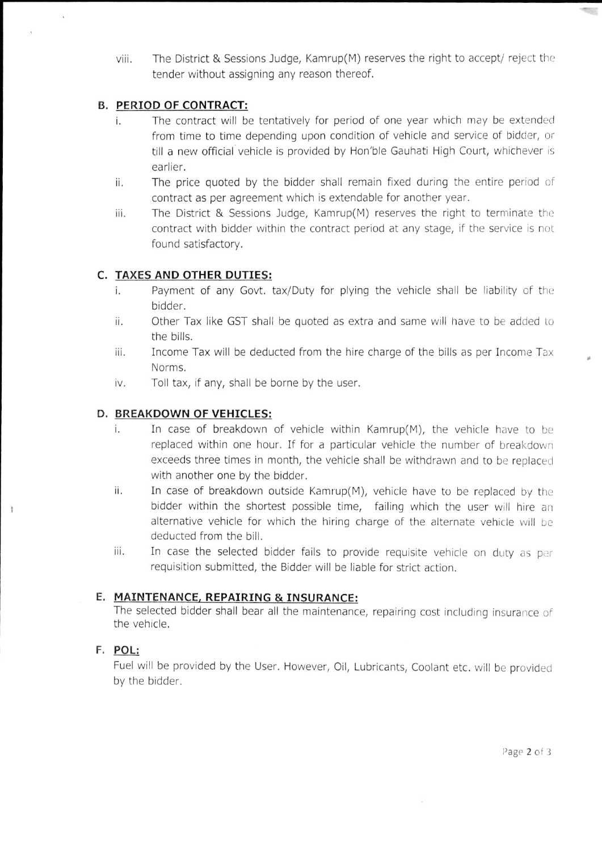viii. The District & Sessions Judge, Kamrup(M) reserves the right to accept/ reject the tender without assigning any reason thereof.

# B, PERIOD OF CONTRACT:

- i. The contract will be tentatively for period of one year which may be extended from time to time depending upon condition of vehicle and service of bidder, or till a new official vehicle is provided by Hon'ble Gauhati High Court, whichever is earlier.
- $ii.$  The price quoted by the bidder shall remain fixed during the entire period of contract as per agreement which is extendable for another year.
- iii. The District & Sessions Judge, Kamrup $(M)$  reserves the right to terminate the contract with bidder within the contract period at any stage, if the service is not. found satisfactory.

# C. TAXES AND OTHER DUTIES:

- i. Payment of any Govt. tax/Duty for plying the vehicle shall be liability of the bidder.
- ii. Other Tax like GST shall be quoted as extra and same wjll have to be added to the bills.
- $iii.$  Income Tax will be deducted from the hire charge of the bills as per Income Tax Norms.
- iv. Toll tax, if any, shall be borne by the user.

# D. BREAKDOWN OF VEHICLES:

- In case of breakdown of vehicle within Kamrup(M), the vehicle have to be i. replaced within one hour. If for a particular vehicle the number of breakdown exceeds three times in month, the vehicle shall be withdrawn and to be replaced with another one by the bidder.
- ii. In case of breakdown outside Kamrup(M), vehicle have to be replaced by the bidder within the shortest possible time, failing which the user will hire an alternative vehicle for which the hiring charge of the alternate vehicle will be deducted from the bill.
- In case the selected bidder fails to provide requisite vehicle on duty as per requisition submitted, the Bidder will be liable for strict action. iii.

### E. MAINTENANCE, REPAIRING & INSURANCE:

The selected bidder shall bear all the maintenance, repairing cost including insurance of the vehicle.

# F, POL:

I

Fuel will be provided by the User. However, Oil, Lubricants, Coolant etc. will be provided by the bidder.